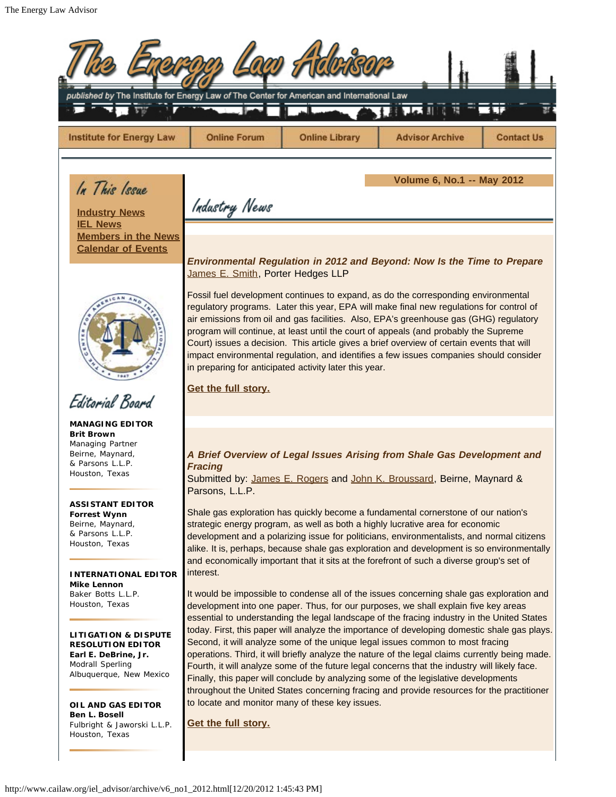| published by The Institute for Energy Law of The Center for American and International Law                                                                                                                                                                                                                                                                                                                                                                                                                                                                |                                                                                                                                     |                       |                                                                                                                                                                                                                                                                                                                                                                                                                                                                                                                                                                                                                                                                                                                                                                                                                                                                                                                                                                                                                                                                                                                                                                                                                                                                                                                                                                                                                                                                                  |                   |
|-----------------------------------------------------------------------------------------------------------------------------------------------------------------------------------------------------------------------------------------------------------------------------------------------------------------------------------------------------------------------------------------------------------------------------------------------------------------------------------------------------------------------------------------------------------|-------------------------------------------------------------------------------------------------------------------------------------|-----------------------|----------------------------------------------------------------------------------------------------------------------------------------------------------------------------------------------------------------------------------------------------------------------------------------------------------------------------------------------------------------------------------------------------------------------------------------------------------------------------------------------------------------------------------------------------------------------------------------------------------------------------------------------------------------------------------------------------------------------------------------------------------------------------------------------------------------------------------------------------------------------------------------------------------------------------------------------------------------------------------------------------------------------------------------------------------------------------------------------------------------------------------------------------------------------------------------------------------------------------------------------------------------------------------------------------------------------------------------------------------------------------------------------------------------------------------------------------------------------------------|-------------------|
| <b>Institute for Energy Law</b>                                                                                                                                                                                                                                                                                                                                                                                                                                                                                                                           | <b>Online Forum</b>                                                                                                                 | <b>Online Library</b> | <b>Advisor Archive</b>                                                                                                                                                                                                                                                                                                                                                                                                                                                                                                                                                                                                                                                                                                                                                                                                                                                                                                                                                                                                                                                                                                                                                                                                                                                                                                                                                                                                                                                           | <b>Contact Us</b> |
| In This Issue<br><b>Industry News</b><br><b>IEL News</b><br><b>Members in the News</b><br><b>Calendar of Events</b><br>Editorial Board                                                                                                                                                                                                                                                                                                                                                                                                                    | Industry News<br>James E. Smith, Porter Hedges LLP<br>in preparing for anticipated activity later this year.<br>Get the full story. |                       | <b>Volume 6, No.1 -- May 2012</b><br>Environmental Regulation in 2012 and Beyond: Now Is the Time to Prepare<br>Fossil fuel development continues to expand, as do the corresponding environmental<br>regulatory programs. Later this year, EPA will make final new regulations for control of<br>air emissions from oil and gas facilities. Also, EPA's greenhouse gas (GHG) regulatory<br>program will continue, at least until the court of appeals (and probably the Supreme<br>Court) issues a decision. This article gives a brief overview of certain events that will<br>impact environmental regulation, and identifies a few issues companies should consider                                                                                                                                                                                                                                                                                                                                                                                                                                                                                                                                                                                                                                                                                                                                                                                                          |                   |
| <b>MANAGING EDITOR</b><br><b>Brit Brown</b><br>Managing Partner<br>Beirne, Maynard,<br>& Parsons L.L.P.<br>Houston, Texas<br><b>ASSISTANT EDITOR</b><br><b>Forrest Wynn</b><br>Beirne, Maynard,<br>& Parsons L.L.P.<br>Houston, Texas<br><b>INTERNATIONAL EDITOR</b><br>Mike Lennon<br>Baker Botts L.L.P.<br>Houston, Texas<br><b>LITIGATION &amp; DISPUTE</b><br><b>RESOLUTION EDITOR</b><br>Earl E. DeBrine, Jr.<br>Modrall Sperling<br>Albuquerque, New Mexico<br>OIL AND GAS EDITOR<br>Ben L. Bosell<br>Fulbright & Jaworski L.L.P.<br>Houston, Texas | <b>Fracing</b><br>Parsons, L.L.P.<br>interest.<br>to locate and monitor many of these key issues.<br>Get the full story.            |                       | A Brief Overview of Legal Issues Arising from Shale Gas Development and<br>Submitted by: James E. Rogers and John K. Broussard, Beirne, Maynard &<br>Shale gas exploration has quickly become a fundamental cornerstone of our nation's<br>strategic energy program, as well as both a highly lucrative area for economic<br>development and a polarizing issue for politicians, environmentalists, and normal citizens<br>alike. It is, perhaps, because shale gas exploration and development is so environmentally<br>and economically important that it sits at the forefront of such a diverse group's set of<br>It would be impossible to condense all of the issues concerning shale gas exploration and<br>development into one paper. Thus, for our purposes, we shall explain five key areas<br>essential to understanding the legal landscape of the fracing industry in the United States<br>today. First, this paper will analyze the importance of developing domestic shale gas plays.<br>Second, it will analyze some of the unique legal issues common to most fracing<br>operations. Third, it will briefly analyze the nature of the legal claims currently being made.<br>Fourth, it will analyze some of the future legal concerns that the industry will likely face.<br>Finally, this paper will conclude by analyzing some of the legislative developments<br>throughout the United States concerning fracing and provide resources for the practitioner |                   |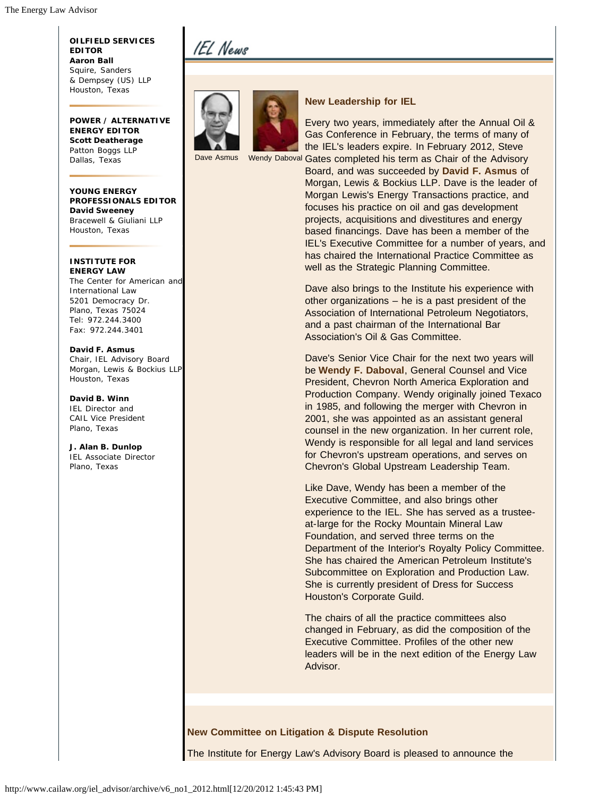**OILFIELD SERVICES EDITOR Aaron Ball** Squire, Sanders & Dempsey (US) LLP Houston, Texas

**POWER / ALTERNATIVE ENERGY EDITOR Scott Deatherage** Patton Boggs LLP Dallas, Texas

**YOUNG ENERGY PROFESSIONALS EDITOR David Sweeney** Bracewell & Giuliani LLP Houston, Texas

**INSTITUTE FOR ENERGY LAW** The Center for American and International Law 5201 Democracy Dr. Plano, Texas 75024

Tel: 972.244.3400 Fax: 972.244.3401 **David F. Asmus** Chair, IEL Advisory Board Morgan, Lewis & Bockius LLP

**David B. Winn** IEL Director and CAIL Vice President Plano, Texas

Houston, Texas

**J. Alan B. Dunlop** IEL Associate Director Plano, Texas

# IEL News



**New Leadership for IEL**

Dave Asmus Wendy Daboval Gates completed his term as Chair of the Advisory Every two years, immediately after the Annual Oil & Gas Conference in February, the terms of many of the IEL's leaders expire. In February 2012, Steve

Board, and was succeeded by **David F. Asmus** of Morgan, Lewis & Bockius LLP. Dave is the leader of Morgan Lewis's Energy Transactions practice, and focuses his practice on oil and gas development projects, acquisitions and divestitures and energy based financings. Dave has been a member of the IEL's Executive Committee for a number of years, and has chaired the International Practice Committee as well as the Strategic Planning Committee.

Dave also brings to the Institute his experience with other organizations – he is a past president of the Association of International Petroleum Negotiators, and a past chairman of the International Bar Association's Oil & Gas Committee.

Dave's Senior Vice Chair for the next two years will be **Wendy F. Daboval**, General Counsel and Vice President, Chevron North America Exploration and Production Company. Wendy originally joined Texaco in 1985, and following the merger with Chevron in 2001, she was appointed as an assistant general counsel in the new organization. In her current role, Wendy is responsible for all legal and land services for Chevron's upstream operations, and serves on Chevron's Global Upstream Leadership Team.

Like Dave, Wendy has been a member of the Executive Committee, and also brings other experience to the IEL. She has served as a trusteeat-large for the Rocky Mountain Mineral Law Foundation, and served three terms on the Department of the Interior's Royalty Policy Committee. She has chaired the American Petroleum Institute's Subcommittee on Exploration and Production Law. She is currently president of Dress for Success Houston's Corporate Guild.

The chairs of all the practice committees also changed in February, as did the composition of the Executive Committee. Profiles of the other new leaders will be in the next edition of the Energy Law Advisor.

**New Committee on Litigation & Dispute Resolution**

The Institute for Energy Law's Advisory Board is pleased to announce the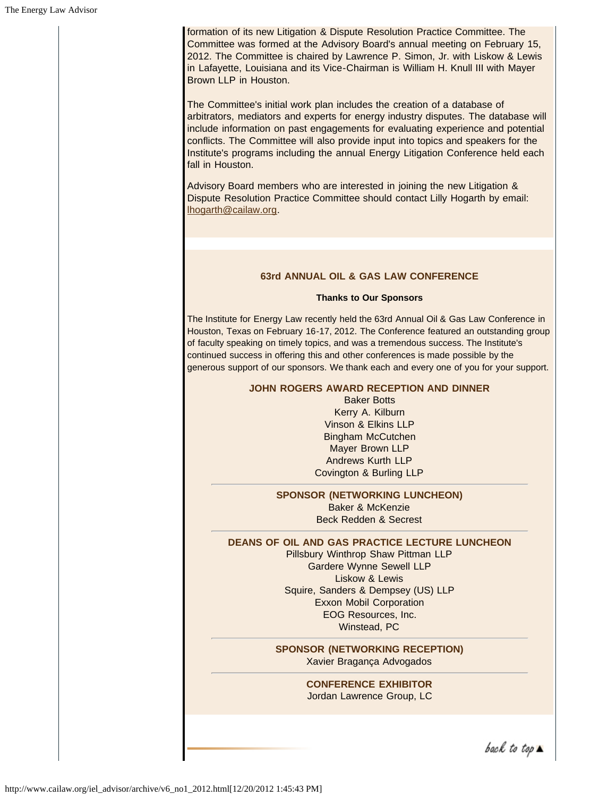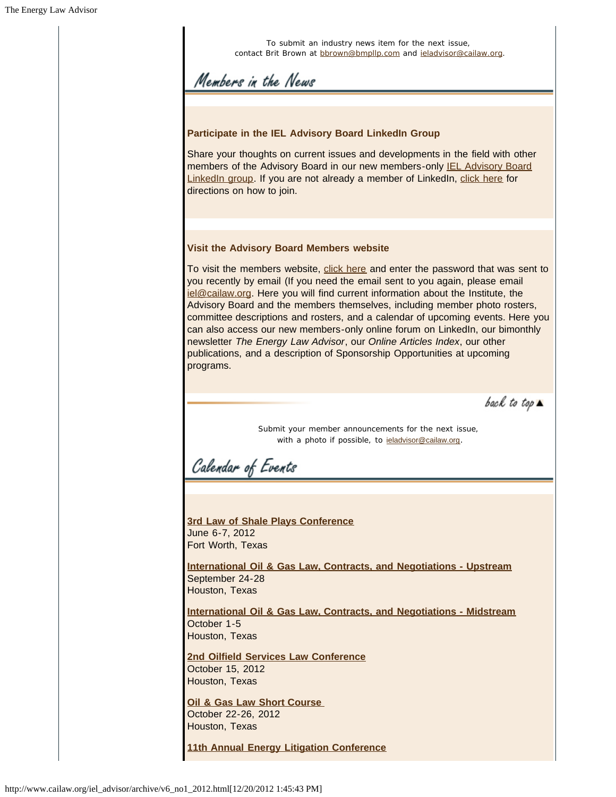| To submit an industry news item for the next issue,<br>contact Brit Brown at bbrown@bmpllp.com and ieladvisor@cailaw.org.                                                                                                                                                                                                                                                                                                                                                                                                                                                                                                                                                |
|--------------------------------------------------------------------------------------------------------------------------------------------------------------------------------------------------------------------------------------------------------------------------------------------------------------------------------------------------------------------------------------------------------------------------------------------------------------------------------------------------------------------------------------------------------------------------------------------------------------------------------------------------------------------------|
| Members in the News                                                                                                                                                                                                                                                                                                                                                                                                                                                                                                                                                                                                                                                      |
|                                                                                                                                                                                                                                                                                                                                                                                                                                                                                                                                                                                                                                                                          |
| Participate in the IEL Advisory Board LinkedIn Group                                                                                                                                                                                                                                                                                                                                                                                                                                                                                                                                                                                                                     |
| Share your thoughts on current issues and developments in the field with other<br>members of the Advisory Board in our new members-only <b>IEL Advisory Board</b><br>Linkedln group. If you are not already a member of Linkedln, click here for<br>directions on how to join.                                                                                                                                                                                                                                                                                                                                                                                           |
| <b>Visit the Advisory Board Members website</b>                                                                                                                                                                                                                                                                                                                                                                                                                                                                                                                                                                                                                          |
| To visit the members website, click here and enter the password that was sent to<br>you recently by email (If you need the email sent to you again, please email<br>iel@cailaw.org. Here you will find current information about the Institute, the<br>Advisory Board and the members themselves, including member photo rosters,<br>committee descriptions and rosters, and a calendar of upcoming events. Here you<br>can also access our new members-only online forum on LinkedIn, our bimonthly<br>newsletter The Energy Law Advisor, our Online Articles Index, our other<br>publications, and a description of Sponsorship Opportunities at upcoming<br>programs. |
| back to top $\blacktriangle$                                                                                                                                                                                                                                                                                                                                                                                                                                                                                                                                                                                                                                             |
| Submit your member announcements for the next issue,<br>with a photo if possible, to <b>igladvisor@cailaw.org</b> .<br>Calendar of Eventi                                                                                                                                                                                                                                                                                                                                                                                                                                                                                                                                |
|                                                                                                                                                                                                                                                                                                                                                                                                                                                                                                                                                                                                                                                                          |
|                                                                                                                                                                                                                                                                                                                                                                                                                                                                                                                                                                                                                                                                          |
| 3rd Law of Shale Plays Conference<br>June 6-7, 2012<br>Fort Worth, Texas<br><b>International Oil &amp; Gas Law, Contracts, and Negotiations - Upstream</b>                                                                                                                                                                                                                                                                                                                                                                                                                                                                                                               |
| September 24-28<br>Houston, Texas                                                                                                                                                                                                                                                                                                                                                                                                                                                                                                                                                                                                                                        |
| <b>International Oil &amp; Gas Law, Contracts, and Negotiations - Midstream</b><br>October 1-5<br>Houston, Texas                                                                                                                                                                                                                                                                                                                                                                                                                                                                                                                                                         |
| 2nd Oilfield Services Law Conference<br>October 15, 2012<br>Houston, Texas                                                                                                                                                                                                                                                                                                                                                                                                                                                                                                                                                                                               |
| Oil & Gas Law Short Course<br>October 22-26, 2012<br>Houston, Texas                                                                                                                                                                                                                                                                                                                                                                                                                                                                                                                                                                                                      |
| <b>11th Annual Energy Litigation Conference</b>                                                                                                                                                                                                                                                                                                                                                                                                                                                                                                                                                                                                                          |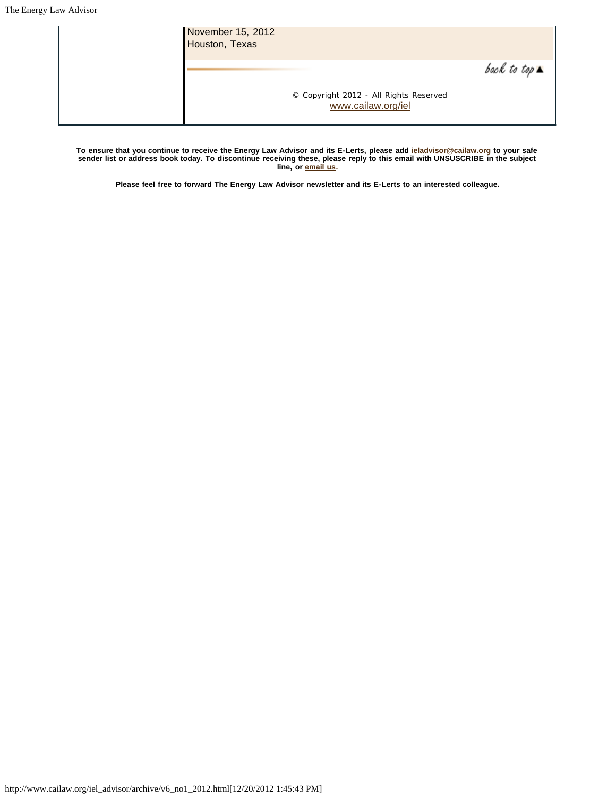| November 15, 2012<br>Houston, Texas |                                                              |                              |
|-------------------------------------|--------------------------------------------------------------|------------------------------|
|                                     |                                                              | back to top $\blacktriangle$ |
|                                     | © Copyright 2012 - All Rights Reserved<br>www.cailaw.org/iel |                              |

**To ensure that you continue to receive the Energy Law Advisor and its E-Lerts, please add [ieladvisor@cailaw.org](mailto:ieladvisor@cailaw.org) to your safe sender list or address book today. To discontinue receiving these, please reply to this email with UNSUSCRIBE in the subject line, or [email us](mailto:ieladvisor@cailaw.org).**

**Please feel free to forward The Energy Law Advisor newsletter and its E-Lerts to an interested colleague.**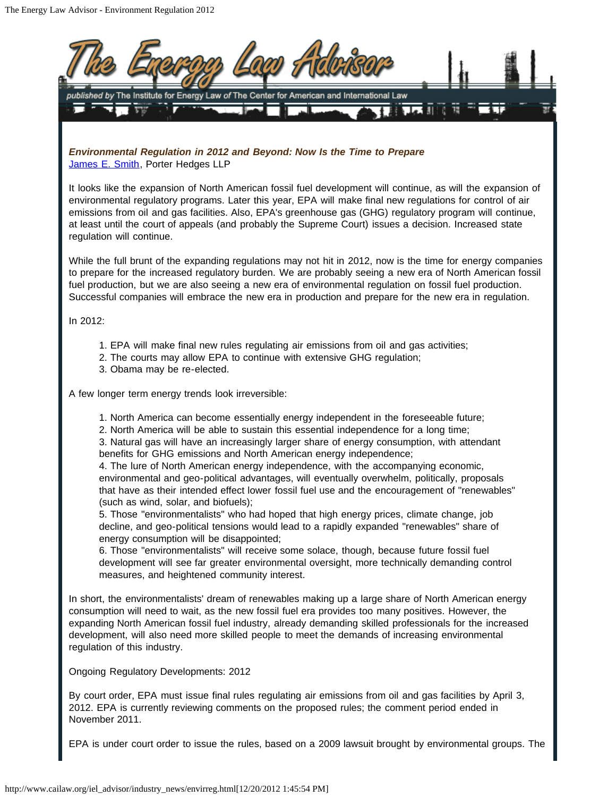

EPA is under court order to issue the rules, based on a 2009 lawsuit brought by environmental groups. The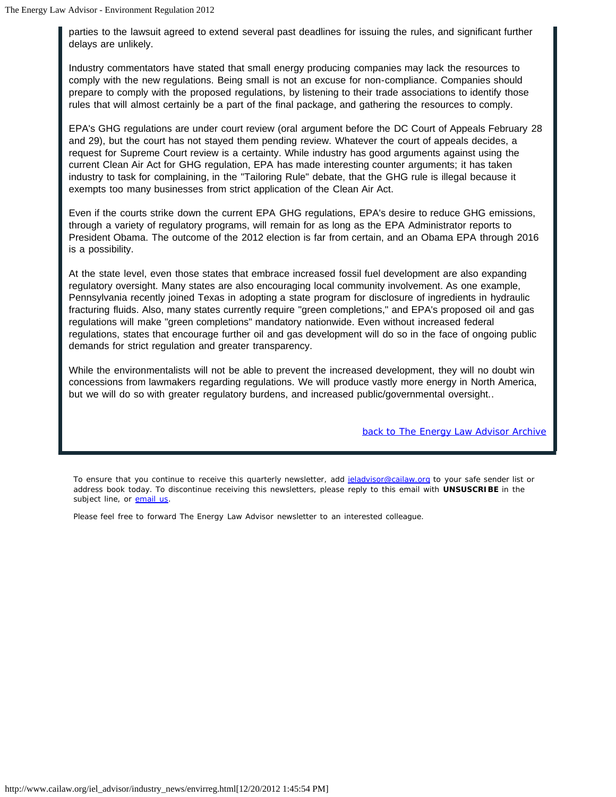parties to the lawsuit agreed to extend several past deadlines for issuing the rules, and significant further delays are unlikely.

Industry commentators have stated that small energy producing companies may lack the resources to comply with the new regulations. Being small is not an excuse for non-compliance. Companies should prepare to comply with the proposed regulations, by listening to their trade associations to identify those rules that will almost certainly be a part of the final package, and gathering the resources to comply.

EPA's GHG regulations are under court review (oral argument before the DC Court of Appeals February 28 and 29), but the court has not stayed them pending review. Whatever the court of appeals decides, a request for Supreme Court review is a certainty. While industry has good arguments against using the current Clean Air Act for GHG regulation, EPA has made interesting counter arguments; it has taken industry to task for complaining, in the "Tailoring Rule" debate, that the GHG rule is illegal because it exempts too many businesses from strict application of the Clean Air Act.

Even if the courts strike down the current EPA GHG regulations, EPA's desire to reduce GHG emissions, through a variety of regulatory programs, will remain for as long as the EPA Administrator reports to President Obama. The outcome of the 2012 election is far from certain, and an Obama EPA through 2016 is a possibility.

At the state level, even those states that embrace increased fossil fuel development are also expanding regulatory oversight. Many states are also encouraging local community involvement. As one example, Pennsylvania recently joined Texas in adopting a state program for disclosure of ingredients in hydraulic fracturing fluids. Also, many states currently require "green completions," and EPA's proposed oil and gas regulations will make "green completions" mandatory nationwide. Even without increased federal regulations, states that encourage further oil and gas development will do so in the face of ongoing public demands for strict regulation and greater transparency.

While the environmentalists will not be able to prevent the increased development, they will no doubt win concessions from lawmakers regarding regulations. We will produce vastly more energy in North America, but we will do so with greater regulatory burdens, and increased public/governmental oversight..

*back to The Energy Law Advisor Archive*

To ensure that you continue to receive this quarterly newsletter, add ieladvisor@cailaw.org to your safe sender list or address book today. To discontinue receiving this newsletters, please reply to this email with **UNSUSCRIBE** in the subject line, or **email us**.

Please feel free to forward The Energy Law Advisor newsletter to an interested colleague.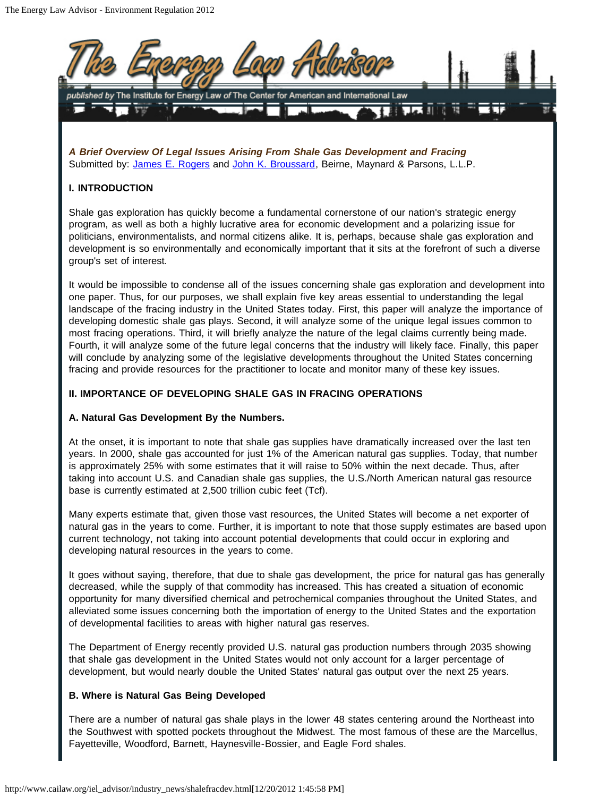

*A Brief Overview Of Legal Issues Arising From Shale Gas Development and Fracing* Submitted by: James E. Rogers and John K. Broussard, Beirne, Maynard & Parsons, L.L.P.

# **I. INTRODUCTION**

Shale gas exploration has quickly become a fundamental cornerstone of our nation's strategic energy program, as well as both a highly lucrative area for economic development and a polarizing issue for politicians, environmentalists, and normal citizens alike. It is, perhaps, because shale gas exploration and development is so environmentally and economically important that it sits at the forefront of such a diverse group's set of interest.

It would be impossible to condense all of the issues concerning shale gas exploration and development into one paper. Thus, for our purposes, we shall explain five key areas essential to understanding the legal landscape of the fracing industry in the United States today. First, this paper will analyze the importance of developing domestic shale gas plays. Second, it will analyze some of the unique legal issues common to most fracing operations. Third, it will briefly analyze the nature of the legal claims currently being made. Fourth, it will analyze some of the future legal concerns that the industry will likely face. Finally, this paper will conclude by analyzing some of the legislative developments throughout the United States concerning fracing and provide resources for the practitioner to locate and monitor many of these key issues.

## **II. IMPORTANCE OF DEVELOPING SHALE GAS IN FRACING OPERATIONS**

# **A. Natural Gas Development By the Numbers.**

At the onset, it is important to note that shale gas supplies have dramatically increased over the last ten years. In 2000, shale gas accounted for just 1% of the American natural gas supplies. Today, that number is approximately 25% with some estimates that it will raise to 50% within the next decade. Thus, after taking into account U.S. and Canadian shale gas supplies, the U.S./North American natural gas resource base is currently estimated at 2,500 trillion cubic feet (Tcf).

Many experts estimate that, given those vast resources, the United States will become a net exporter of natural gas in the years to come. Further, it is important to note that those supply estimates are based upon current technology, not taking into account potential developments that could occur in exploring and developing natural resources in the years to come.

It goes without saying, therefore, that due to shale gas development, the price for natural gas has generally decreased, while the supply of that commodity has increased. This has created a situation of economic opportunity for many diversified chemical and petrochemical companies throughout the United States, and alleviated some issues concerning both the importation of energy to the United States and the exportation of developmental facilities to areas with higher natural gas reserves.

The Department of Energy recently provided U.S. natural gas production numbers through 2035 showing that shale gas development in the United States would not only account for a larger percentage of development, but would nearly double the United States' natural gas output over the next 25 years.

#### **B. Where is Natural Gas Being Developed**

There are a number of natural gas shale plays in the lower 48 states centering around the Northeast into the Southwest with spotted pockets throughout the Midwest. The most famous of these are the Marcellus, Fayetteville, Woodford, Barnett, Haynesville-Bossier, and Eagle Ford shales.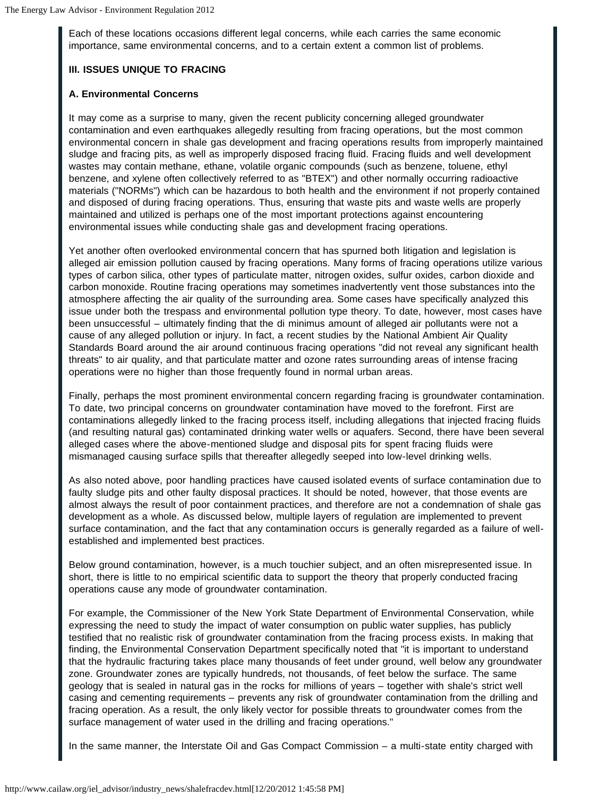Each of these locations occasions different legal concerns, while each carries the same economic importance, same environmental concerns, and to a certain extent a common list of problems.

# **III. ISSUES UNIQUE TO FRACING**

## **A. Environmental Concerns**

It may come as a surprise to many, given the recent publicity concerning alleged groundwater contamination and even earthquakes allegedly resulting from fracing operations, but the most common environmental concern in shale gas development and fracing operations results from improperly maintained sludge and fracing pits, as well as improperly disposed fracing fluid. Fracing fluids and well development wastes may contain methane, ethane, volatile organic compounds (such as benzene, toluene, ethyl benzene, and xylene often collectively referred to as "BTEX") and other normally occurring radioactive materials ("NORMs") which can be hazardous to both health and the environment if not properly contained and disposed of during fracing operations. Thus, ensuring that waste pits and waste wells are properly maintained and utilized is perhaps one of the most important protections against encountering environmental issues while conducting shale gas and development fracing operations.

Yet another often overlooked environmental concern that has spurned both litigation and legislation is alleged air emission pollution caused by fracing operations. Many forms of fracing operations utilize various types of carbon silica, other types of particulate matter, nitrogen oxides, sulfur oxides, carbon dioxide and carbon monoxide. Routine fracing operations may sometimes inadvertently vent those substances into the atmosphere affecting the air quality of the surrounding area. Some cases have specifically analyzed this issue under both the trespass and environmental pollution type theory. To date, however, most cases have been unsuccessful – ultimately finding that the di minimus amount of alleged air pollutants were not a cause of any alleged pollution or injury. In fact, a recent studies by the National Ambient Air Quality Standards Board around the air around continuous fracing operations "did not reveal any significant health threats" to air quality, and that particulate matter and ozone rates surrounding areas of intense fracing operations were no higher than those frequently found in normal urban areas.

Finally, perhaps the most prominent environmental concern regarding fracing is groundwater contamination. To date, two principal concerns on groundwater contamination have moved to the forefront. First are contaminations allegedly linked to the fracing process itself, including allegations that injected fracing fluids (and resulting natural gas) contaminated drinking water wells or aquafers. Second, there have been several alleged cases where the above-mentioned sludge and disposal pits for spent fracing fluids were mismanaged causing surface spills that thereafter allegedly seeped into low-level drinking wells.

As also noted above, poor handling practices have caused isolated events of surface contamination due to faulty sludge pits and other faulty disposal practices. It should be noted, however, that those events are almost always the result of poor containment practices, and therefore are not a condemnation of shale gas development as a whole. As discussed below, multiple layers of regulation are implemented to prevent surface contamination, and the fact that any contamination occurs is generally regarded as a failure of wellestablished and implemented best practices.

Below ground contamination, however, is a much touchier subject, and an often misrepresented issue. In short, there is little to no empirical scientific data to support the theory that properly conducted fracing operations cause any mode of groundwater contamination.

For example, the Commissioner of the New York State Department of Environmental Conservation, while expressing the need to study the impact of water consumption on public water supplies, has publicly testified that no realistic risk of groundwater contamination from the fracing process exists. In making that finding, the Environmental Conservation Department specifically noted that "it is important to understand that the hydraulic fracturing takes place many thousands of feet under ground, well below any groundwater zone. Groundwater zones are typically hundreds, not thousands, of feet below the surface. The same geology that is sealed in natural gas in the rocks for millions of years – together with shale's strict well casing and cementing requirements – prevents any risk of groundwater contamination from the drilling and fracing operation. As a result, the only likely vector for possible threats to groundwater comes from the surface management of water used in the drilling and fracing operations."

In the same manner, the Interstate Oil and Gas Compact Commission – a multi-state entity charged with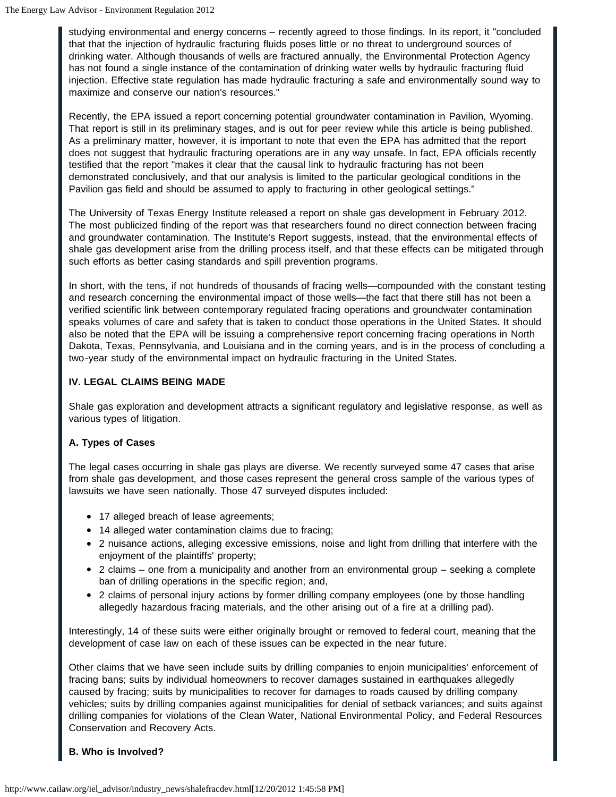studying environmental and energy concerns – recently agreed to those findings. In its report, it "concluded that that the injection of hydraulic fracturing fluids poses little or no threat to underground sources of drinking water. Although thousands of wells are fractured annually, the Environmental Protection Agency has not found a single instance of the contamination of drinking water wells by hydraulic fracturing fluid injection. Effective state regulation has made hydraulic fracturing a safe and environmentally sound way to maximize and conserve our nation's resources."

Recently, the EPA issued a report concerning potential groundwater contamination in Pavilion, Wyoming. That report is still in its preliminary stages, and is out for peer review while this article is being published. As a preliminary matter, however, it is important to note that even the EPA has admitted that the report does not suggest that hydraulic fracturing operations are in any way unsafe. In fact, EPA officials recently testified that the report "makes it clear that the causal link to hydraulic fracturing has not been demonstrated conclusively, and that our analysis is limited to the particular geological conditions in the Pavilion gas field and should be assumed to apply to fracturing in other geological settings."

The University of Texas Energy Institute released a report on shale gas development in February 2012. The most publicized finding of the report was that researchers found no direct connection between fracing and groundwater contamination. The Institute's Report suggests, instead, that the environmental effects of shale gas development arise from the drilling process itself, and that these effects can be mitigated through such efforts as better casing standards and spill prevention programs.

In short, with the tens, if not hundreds of thousands of fracing wells—compounded with the constant testing and research concerning the environmental impact of those wells—the fact that there still has not been a verified scientific link between contemporary regulated fracing operations and groundwater contamination speaks volumes of care and safety that is taken to conduct those operations in the United States. It should also be noted that the EPA will be issuing a comprehensive report concerning fracing operations in North Dakota, Texas, Pennsylvania, and Louisiana and in the coming years, and is in the process of concluding a two-year study of the environmental impact on hydraulic fracturing in the United States.

# **IV. LEGAL CLAIMS BEING MADE**

Shale gas exploration and development attracts a significant regulatory and legislative response, as well as various types of litigation.

# **A. Types of Cases**

The legal cases occurring in shale gas plays are diverse. We recently surveyed some 47 cases that arise from shale gas development, and those cases represent the general cross sample of the various types of lawsuits we have seen nationally. Those 47 surveyed disputes included:

- 17 alleged breach of lease agreements;
- 14 alleged water contamination claims due to fracing;
- 2 nuisance actions, alleging excessive emissions, noise and light from drilling that interfere with the enjoyment of the plaintiffs' property;
- 2 claims one from a municipality and another from an environmental group seeking a complete ban of drilling operations in the specific region; and,
- 2 claims of personal injury actions by former drilling company employees (one by those handling allegedly hazardous fracing materials, and the other arising out of a fire at a drilling pad).

Interestingly, 14 of these suits were either originally brought or removed to federal court, meaning that the development of case law on each of these issues can be expected in the near future.

Other claims that we have seen include suits by drilling companies to enjoin municipalities' enforcement of fracing bans; suits by individual homeowners to recover damages sustained in earthquakes allegedly caused by fracing; suits by municipalities to recover for damages to roads caused by drilling company vehicles; suits by drilling companies against municipalities for denial of setback variances; and suits against drilling companies for violations of the Clean Water, National Environmental Policy, and Federal Resources Conservation and Recovery Acts.

# **B. Who is Involved?**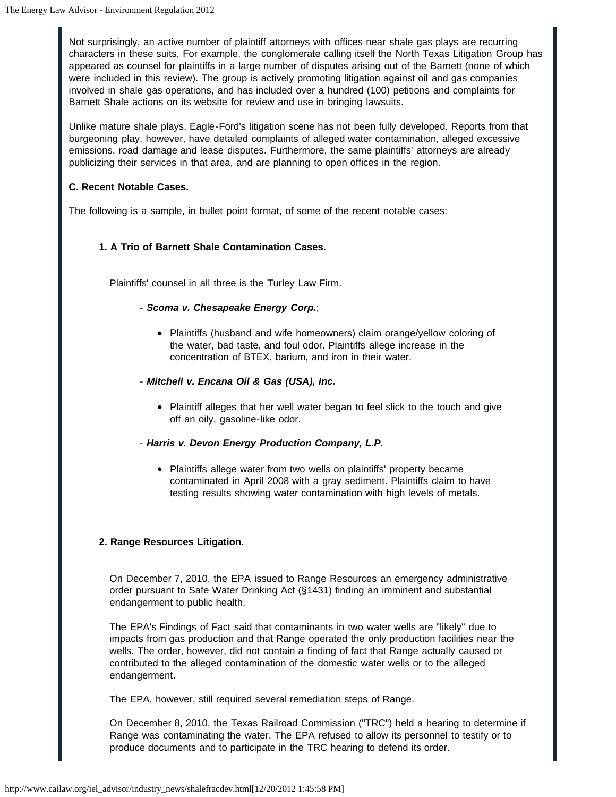Not surprisingly, an active number of plaintiff attorneys with offices near shale gas plays are recurring characters in these suits. For example, the conglomerate calling itself the North Texas Litigation Group has appeared as counsel for plaintiffs in a large number of disputes arising out of the Barnett (none of which were included in this review). The group is actively promoting litigation against oil and gas companies involved in shale gas operations, and has included over a hundred (100) petitions and complaints for Barnett Shale actions on its website for review and use in bringing lawsuits.

Unlike mature shale plays, Eagle-Ford's litigation scene has not been fully developed. Reports from that burgeoning play, however, have detailed complaints of alleged water contamination, alleged excessive emissions, road damage and lease disputes. Furthermore, the same plaintiffs' attorneys are already publicizing their services in that area, and are planning to open offices in the region.

# **C. Recent Notable Cases.**

The following is a sample, in bullet point format, of some of the recent notable cases:

# **1. A Trio of Barnett Shale Contamination Cases.**

Plaintiffs' counsel in all three is the Turley Law Firm.

# - *Scoma v. Chesapeake Energy Corp.*;

- Plaintiffs (husband and wife homeowners) claim orange/yellow coloring of the water, bad taste, and foul odor. Plaintiffs allege increase in the concentration of BTEX, barium, and iron in their water.
- *Mitchell v. Encana Oil & Gas (USA), Inc.*
	- Plaintiff alleges that her well water began to feel slick to the touch and give off an oily, gasoline-like odor.

# - *Harris v. Devon Energy Production Company, L.P.*

• Plaintiffs allege water from two wells on plaintiffs' property became contaminated in April 2008 with a gray sediment. Plaintiffs claim to have testing results showing water contamination with high levels of metals.

# **2. Range Resources Litigation.**

On December 7, 2010, the EPA issued to Range Resources an emergency administrative order pursuant to Safe Water Drinking Act (§1431) finding an imminent and substantial endangerment to public health.

The EPA's Findings of Fact said that contaminants in two water wells are "likely" due to impacts from gas production and that Range operated the only production facilities near the wells. The order, however, did not contain a finding of fact that Range actually caused or contributed to the alleged contamination of the domestic water wells or to the alleged endangerment.

The EPA, however, still required several remediation steps of Range.

On December 8, 2010, the Texas Railroad Commission ("TRC") held a hearing to determine if Range was contaminating the water. The EPA refused to allow its personnel to testify or to produce documents and to participate in the TRC hearing to defend its order.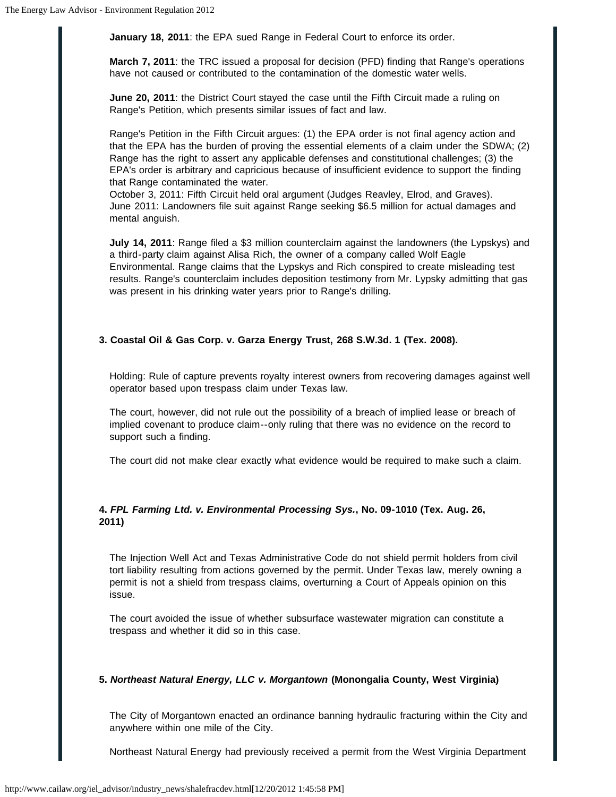**January 18, 2011**: the EPA sued Range in Federal Court to enforce its order.

**March 7, 2011**: the TRC issued a proposal for decision (PFD) finding that Range's operations have not caused or contributed to the contamination of the domestic water wells.

**June 20, 2011**: the District Court stayed the case until the Fifth Circuit made a ruling on Range's Petition, which presents similar issues of fact and law.

Range's Petition in the Fifth Circuit argues: (1) the EPA order is not final agency action and that the EPA has the burden of proving the essential elements of a claim under the SDWA; (2) Range has the right to assert any applicable defenses and constitutional challenges; (3) the EPA's order is arbitrary and capricious because of insufficient evidence to support the finding that Range contaminated the water.

October 3, 2011: Fifth Circuit held oral argument (Judges Reavley, Elrod, and Graves). June 2011: Landowners file suit against Range seeking \$6.5 million for actual damages and mental anguish.

**July 14, 2011**: Range filed a \$3 million counterclaim against the landowners (the Lypskys) and a third-party claim against Alisa Rich, the owner of a company called Wolf Eagle Environmental. Range claims that the Lypskys and Rich conspired to create misleading test results. Range's counterclaim includes deposition testimony from Mr. Lypsky admitting that gas was present in his drinking water years prior to Range's drilling.

#### **3. Coastal Oil & Gas Corp. v. Garza Energy Trust, 268 S.W.3d. 1 (Tex. 2008).**

Holding: Rule of capture prevents royalty interest owners from recovering damages against well operator based upon trespass claim under Texas law.

The court, however, did not rule out the possibility of a breach of implied lease or breach of implied covenant to produce claim--only ruling that there was no evidence on the record to support such a finding.

The court did not make clear exactly what evidence would be required to make such a claim.

# **4.** *FPL Farming Ltd. v. Environmental Processing Sys.***, No. 09-1010 (Tex. Aug. 26, 2011)**

The Injection Well Act and Texas Administrative Code do not shield permit holders from civil tort liability resulting from actions governed by the permit. Under Texas law, merely owning a permit is not a shield from trespass claims, overturning a Court of Appeals opinion on this issue.

The court avoided the issue of whether subsurface wastewater migration can constitute a trespass and whether it did so in this case.

#### **5.** *Northeast Natural Energy, LLC v. Morgantown* **(Monongalia County, West Virginia)**

The City of Morgantown enacted an ordinance banning hydraulic fracturing within the City and anywhere within one mile of the City.

Northeast Natural Energy had previously received a permit from the West Virginia Department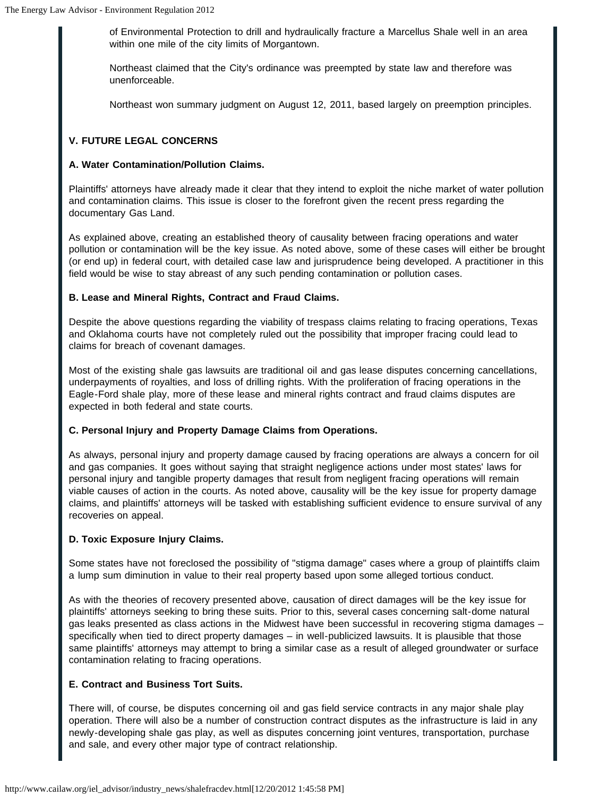of Environmental Protection to drill and hydraulically fracture a Marcellus Shale well in an area within one mile of the city limits of Morgantown.

Northeast claimed that the City's ordinance was preempted by state law and therefore was unenforceable.

Northeast won summary judgment on August 12, 2011, based largely on preemption principles.

# **V. FUTURE LEGAL CONCERNS**

## **A. Water Contamination/Pollution Claims.**

Plaintiffs' attorneys have already made it clear that they intend to exploit the niche market of water pollution and contamination claims. This issue is closer to the forefront given the recent press regarding the documentary Gas Land.

As explained above, creating an established theory of causality between fracing operations and water pollution or contamination will be the key issue. As noted above, some of these cases will either be brought (or end up) in federal court, with detailed case law and jurisprudence being developed. A practitioner in this field would be wise to stay abreast of any such pending contamination or pollution cases.

# **B. Lease and Mineral Rights, Contract and Fraud Claims.**

Despite the above questions regarding the viability of trespass claims relating to fracing operations, Texas and Oklahoma courts have not completely ruled out the possibility that improper fracing could lead to claims for breach of covenant damages.

Most of the existing shale gas lawsuits are traditional oil and gas lease disputes concerning cancellations, underpayments of royalties, and loss of drilling rights. With the proliferation of fracing operations in the Eagle-Ford shale play, more of these lease and mineral rights contract and fraud claims disputes are expected in both federal and state courts.

# **C. Personal Injury and Property Damage Claims from Operations.**

As always, personal injury and property damage caused by fracing operations are always a concern for oil and gas companies. It goes without saying that straight negligence actions under most states' laws for personal injury and tangible property damages that result from negligent fracing operations will remain viable causes of action in the courts. As noted above, causality will be the key issue for property damage claims, and plaintiffs' attorneys will be tasked with establishing sufficient evidence to ensure survival of any recoveries on appeal.

# **D. Toxic Exposure Injury Claims.**

Some states have not foreclosed the possibility of "stigma damage" cases where a group of plaintiffs claim a lump sum diminution in value to their real property based upon some alleged tortious conduct.

As with the theories of recovery presented above, causation of direct damages will be the key issue for plaintiffs' attorneys seeking to bring these suits. Prior to this, several cases concerning salt-dome natural gas leaks presented as class actions in the Midwest have been successful in recovering stigma damages – specifically when tied to direct property damages – in well-publicized lawsuits. It is plausible that those same plaintiffs' attorneys may attempt to bring a similar case as a result of alleged groundwater or surface contamination relating to fracing operations.

# **E. Contract and Business Tort Suits.**

There will, of course, be disputes concerning oil and gas field service contracts in any major shale play operation. There will also be a number of construction contract disputes as the infrastructure is laid in any newly-developing shale gas play, as well as disputes concerning joint ventures, transportation, purchase and sale, and every other major type of contract relationship.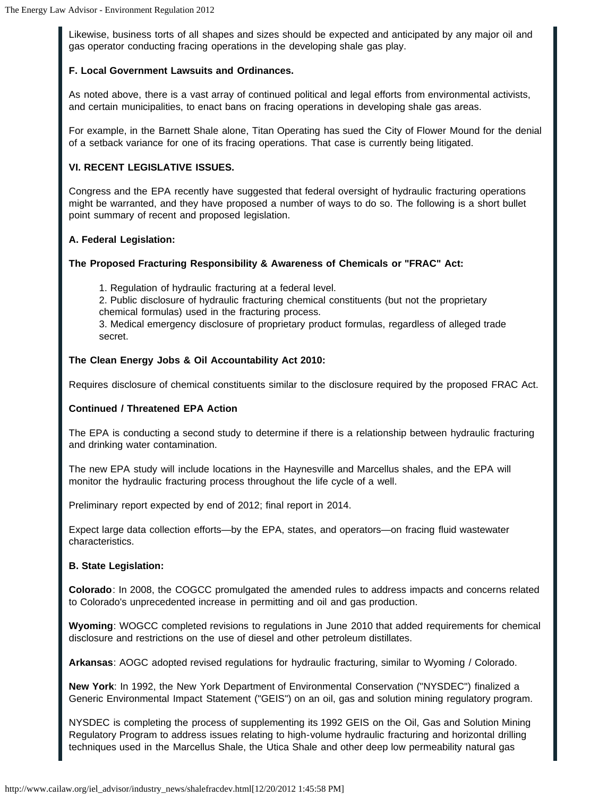Likewise, business torts of all shapes and sizes should be expected and anticipated by any major oil and gas operator conducting fracing operations in the developing shale gas play.

## **F. Local Government Lawsuits and Ordinances.**

As noted above, there is a vast array of continued political and legal efforts from environmental activists, and certain municipalities, to enact bans on fracing operations in developing shale gas areas.

For example, in the Barnett Shale alone, Titan Operating has sued the City of Flower Mound for the denial of a setback variance for one of its fracing operations. That case is currently being litigated.

## **VI. RECENT LEGISLATIVE ISSUES.**

Congress and the EPA recently have suggested that federal oversight of hydraulic fracturing operations might be warranted, and they have proposed a number of ways to do so. The following is a short bullet point summary of recent and proposed legislation.

## **A. Federal Legislation:**

## **The Proposed Fracturing Responsibility & Awareness of Chemicals or "FRAC" Act:**

1. Regulation of hydraulic fracturing at a federal level.

2. Public disclosure of hydraulic fracturing chemical constituents (but not the proprietary

chemical formulas) used in the fracturing process.

3. Medical emergency disclosure of proprietary product formulas, regardless of alleged trade secret.

## **The Clean Energy Jobs & Oil Accountability Act 2010:**

Requires disclosure of chemical constituents similar to the disclosure required by the proposed FRAC Act.

#### **Continued / Threatened EPA Action**

The EPA is conducting a second study to determine if there is a relationship between hydraulic fracturing and drinking water contamination.

The new EPA study will include locations in the Haynesville and Marcellus shales, and the EPA will monitor the hydraulic fracturing process throughout the life cycle of a well.

Preliminary report expected by end of 2012; final report in 2014.

Expect large data collection efforts—by the EPA, states, and operators—on fracing fluid wastewater characteristics.

#### **B. State Legislation:**

**Colorado**: In 2008, the COGCC promulgated the amended rules to address impacts and concerns related to Colorado's unprecedented increase in permitting and oil and gas production.

**Wyoming**: WOGCC completed revisions to regulations in June 2010 that added requirements for chemical disclosure and restrictions on the use of diesel and other petroleum distillates.

**Arkansas**: AOGC adopted revised regulations for hydraulic fracturing, similar to Wyoming / Colorado.

**New York**: In 1992, the New York Department of Environmental Conservation ("NYSDEC") finalized a Generic Environmental Impact Statement ("GEIS") on an oil, gas and solution mining regulatory program.

NYSDEC is completing the process of supplementing its 1992 GEIS on the Oil, Gas and Solution Mining Regulatory Program to address issues relating to high-volume hydraulic fracturing and horizontal drilling techniques used in the Marcellus Shale, the Utica Shale and other deep low permeability natural gas